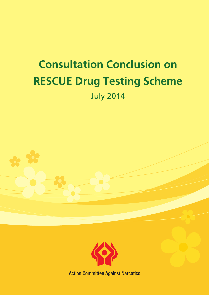# **Consultation Conclusion on RESCUE Drug Testing Scheme** July 2014



**Action Committee Against Narcotics**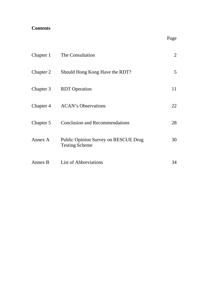# **Contents**

|           | Chapter 1 The Consultation                                    | $\overline{2}$ |
|-----------|---------------------------------------------------------------|----------------|
| Chapter 2 | Should Hong Kong Have the RDT?                                | 5 <sup>5</sup> |
| Chapter 3 | <b>RDT</b> Operation                                          | 11             |
|           | Chapter 4 ACAN's Observations                                 | 22             |
| Chapter 5 | <b>Conclusion and Recommendations</b>                         | 28             |
| Annex A   | Public Opinion Survey on RESCUE Drug<br><b>Testing Scheme</b> | 30             |
| Annex B   | List of Abbreviations                                         | 34             |

**Page**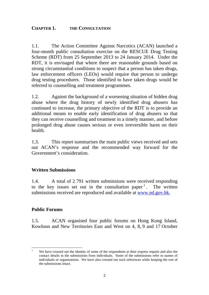## <span id="page-2-0"></span>**CHAPTER 1. THE CONSULTATION**

1.1. The Action Committee Against Narcotics (ACAN) launched a four-month public consultation exercise on the RESCUE Drug Testing Scheme (RDT) from 25 September 2013 to 24 January 2014. Under the RDT, it is envisaged that where there are reasonable grounds based on strong circumstantial conditions to suspect that a person has taken drugs, law enforcement officers (LEOs) would require that person to undergo drug testing procedures. Those identified to have taken drugs would be referred to counselling and treatment programmes.

1.2. Against the background of a worsening situation of hidden drug abuse where the drug history of newly identified drug abusers has continued to increase, the primary objective of the RDT is to provide an additional means to enable early identification of drug abusers so that they can receive counselling and treatment in a timely manner, and before prolonged drug abuse causes serious or even irreversible harm on their health.

1.3. This report summarises the main public views received and sets out ACAN's response and the recommended way forward for the Government's consideration.

## **Written Submissions**

1.4. A total of 2 791 written submissions were received responding to the key issues set out in the consultation paper<sup>1</sup>. The written submissions received are reproduced and available at www.nd.gov.hk.

## **Public Forums**

1.5. ACAN organised four public forums on Hong Kong Island, Kowloon and New Territories East and West on 4, 8, 9 and 17 October

 <sup>1</sup> We have crossed out the identity of some of the respondents at their express request and also the contact details in the submissions from individuals. Some of the submissions refer to names of individuals or organisations. We have also crossed out such references while keeping the rest of the submissions intact.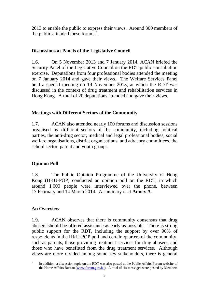2013 to enable the public to express their views. Around 300 members of the public attended these forums<sup>2</sup>.

## **Discussions at Panels of the Legislative Council**

1.6. On 5 November 2013 and 7 January 2014, ACAN briefed the Security Panel of the Legislative Council on the RDT public consultation exercise. Deputations from four professional bodies attended the meeting on 7 January 2014 and gave their views. The Welfare Services Panel held a special meeting on 19 November 2013, at which the RDT was discussed in the context of drug treatment and rehabilitation services in Hong Kong. A total of 20 deputations attended and gave their views.

## **Meetings with Different Sectors of the Community**

1.7. ACAN also attended nearly 100 forums and discussion sessions organised by different sectors of the community, including political parties, the anti-drug sector, medical and legal professional bodies, social welfare organisations, district organisations, and advisory committees, the school sector, parent and youth groups.

# **Opinion Poll**

1.8. The Public Opinion Programme of the University of Hong Kong (HKU-POP) conducted an opinion poll on the RDT, in which around 1 000 people were interviewed over the phone, between 17 February and 14 March 2014. A summary is at **Annex A**.

# **An Overview**

1.9. ACAN observes that there is community consensus that drug abusers should be offered assistance as early as possible. There is strong public support for the RDT, including the support by over 90% of respondents in the HKU-POP poll and certain quarters of the community, such as parents, those providing treatment services for drug abusers, and those who have benefitted from the drug treatment services. Although views are more divided among some key stakeholders, there is general

 <sup>2</sup> In addition, a discussion topic on the RDT was also posted at the Public Affairs Forum website of the Home Affairs Bureau (www.forum.gov.hk). A total of six messages were posted by Members.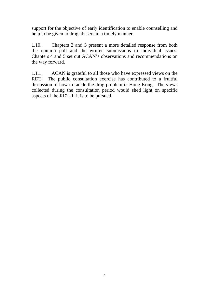support for the objective of early identification to enable counselling and help to be given to drug abusers in a timely manner.

1.10. Chapters 2 and 3 present a more detailed response from both the opinion poll and the written submissions to individual issues. Chapters 4 and 5 set out ACAN's observations and recommendations on the way forward.

1.11. ACAN is grateful to all those who have expressed views on the RDT. The public consultation exercise has contributed to a fruitful discussion of how to tackle the drug problem in Hong Kong. The views collected during the consultation period would shed light on specific aspects of the RDT, if it is to be pursued.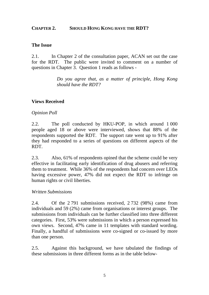#### <span id="page-5-0"></span>**CHAPTER 2. SHOULD HONG KONG HAVE THE RDT?**

#### **The Issue**

2.1. In Chapter 2 of the consultation paper, ACAN set out the case for the RDT. The public were invited to comment on a number of questions in Chapter 3. Question 1 reads as follows -

> *Do you agree that, as a matter of principle, Hong Kong should have the RDT?*

## **Views Received**

## *Opinion Poll*

2.2. The poll conducted by HKU-POP, in which around 1 000 people aged 18 or above were interviewed, shows that 88% of the respondents supported the RDT. The support rate went up to 91% after they had responded to a series of questions on different aspects of the RDT.

2.3. Also, 61% of respondents opined that the scheme could be very effective in facilitating early identification of drug abusers and referring them to treatment. While 36% of the respondents had concern over LEOs having excessive power, 47% did not expect the RDT to infringe on human rights or civil liberties.

#### *Written Submissions*

2.4. Of the 2 791 submissions received, 2 732 (98%) came from individuals and 59 (2%) came from organisations or interest groups. The submissions from individuals can be further classified into three different categories. First, 53% were submissions in which a person expressed his own views. Second, 47% came in 11 templates with standard wording. Finally, a handful of submissions were co-signed or co-issued by more than one person.

2.5. Against this background, we have tabulated the findings of these submissions in three different forms as in the table below-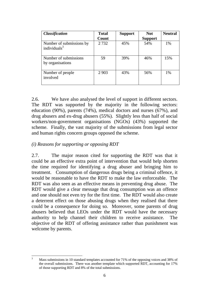| <b>Classification</b>                       | <b>Total</b> | <b>Support</b> | <b>Not</b>     | <b>Neutral</b> |
|---------------------------------------------|--------------|----------------|----------------|----------------|
|                                             | Count        |                | <b>Support</b> |                |
| Number of submissions by<br>individuals $3$ | 2732         | 45%            | 54%            | $1\%$          |
| Number of submissions<br>by organisations   | 59           | 39%            | 46%            | 15%            |
| Number of people<br>involved                | 2 9 0 3      | 43%            | 56%            | $1\%$          |

2.6. We have also analysed the level of support in different sectors. The RDT was supported by the majority in the following sectors: education (90%), parents (74%), medical doctors and nurses (67%), and drug abusers and ex-drug abusers (55%). Slightly less than half of social workers/non-government organisations (NGOs) (43%) supported the scheme. Finally, the vast majority of the submissions from legal sector and human rights concern groups opposed the scheme.

#### *(i) Reasons for supporting or opposing RDT*

2.7. The major reason cited for supporting the RDT was that it could be an effective extra point of intervention that would help shorten the time required for identifying a drug abuser and bringing him to treatment. Consumption of dangerous drugs being a criminal offence, it would be reasonable to have the RDT to make the law enforceable. The RDT was also seen as an effective means in preventing drug abuse. The RDT would give a clear message that drug consumption was an offence and one should not even try for the first time. The RDT would also create a deterrent effect on those abusing drugs when they realised that there could be a consequence for doing so. Moreover, some parents of drug abusers believed that LEOs under the RDT would have the necessary authority to help channel their children to receive assistance. The objective of the RDT of offering assistance rather than punishment was welcome by parents.

 <sup>3</sup> Mass submissions in 10 standard templates accounted for 71% of the opposing voices and 38% of the overall submissions. There was another template which supported RDT, accounting for 17% of those supporting RDT and 8% of the total submissions.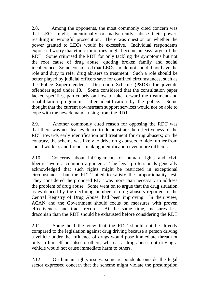2.8. Among the opponents, the most commonly cited concern was that LEOs might, intentionally or inadvertently, abuse their power, resulting in wrongful prosecution. There was question on whether the power granted to LEOs would be excessive. Individual respondents expressed worry that ethnic minorities might become an easy target of the RDT. Some criticised the RDT for only tackling the symptoms but not the root cause of drug abuse, quoting broken family and social incoherence. Some considered that LEOs should not and did not have the role and duty to refer drug abusers to treatment. Such a role should be better played by judicial officers save for confined circumstances, such as the Police Superintendent's Discretion Scheme (PSDS) for juvenile offenders aged under 18. Some considered that the consultation paper lacked specifics, particularly on how to take forward the treatment and rehabilitation programmes after identification by the police. Some thought that the current downstream support services would not be able to cope with the new demand arising from the RDT.

2.9. Another commonly cited reason for opposing the RDT was that there was no clear evidence to demonstrate the effectiveness of the RDT towards early identification and treatment for drug abusers; on the contrary, the scheme was likely to drive drug abusers to hide further from social workers and friends, making identification even more difficult.

2.10. Concerns about infringements of human rights and civil liberties were a common argument. The legal professionals generally acknowledged that such rights might be restricted in exceptional circumstances, but the RDT failed to satisfy the proportionality test. They considered the proposed RDT was more than necessary to address the problem of drug abuse. Some went on to argue that the drug situation, as evidenced by the declining number of drug abusers reported to the Central Registry of Drug Abuse, had been improving. In their view, ACAN and the Government should focus on measures with proven effectiveness and track record. At the same time, measures less draconian than the RDT should be exhausted before considering the RDT.

2.11. Some held the view that the RDT should not be directly compared to the legislation against drug driving because a person driving a vehicle under the influence of drugs would pose immediate threat not only to himself but also to others, whereas a drug abuser not driving a vehicle would not cause immediate harm to others.

2.12. On human rights issues, some respondents outside the legal sector expressed concern that the scheme might violate the presumption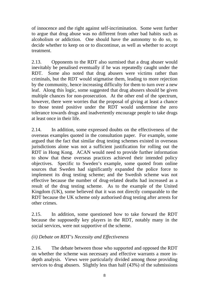of innocence and the right against self-incrimination. Some went further to argue that drug abuse was no different from other bad habits such as alcoholism or addiction. One should have the autonomy to do so, to decide whether to keep on or to discontinue, as well as whether to accept treatment.

2.13. Opponents to the RDT also surmised that a drug abuser would inevitably be penalised eventually if he was repeatedly caught under the RDT. Some also noted that drug abusers were victims rather than criminals, but the RDT would stigmatise them, leading to more rejection by the community, hence increasing difficulty for them to turn over a new leaf. Along this logic, some suggested that drug abusers should be given multiple chances for non-prosecution. At the other end of the spectrum, however, there were worries that the proposal of giving at least a chance to those tested positive under the RDT would undermine the zero tolerance towards drugs and inadvertently encourage people to take drugs at least once in their life.

2.14. In addition, some expressed doubts on the effectiveness of the overseas examples quoted in the consultation paper. For example, some argued that the fact that similar drug testing schemes existed in overseas jurisdictions alone was not a sufficient justification for rolling out the RDT in Hong Kong. ACAN would need to provide further information to show that these overseas practices achieved their intended policy objectives. Specific to Sweden's example, some quoted from online sources that Sweden had significantly expanded the police force to implement its drug testing scheme; and the Swedish scheme was not effective because the number of drug-related deaths had increased as a result of the drug testing scheme. As to the example of the United Kingdom (UK), some believed that it was not directly comparable to the RDT because the UK scheme only authorised drug testing after arrests for other crimes.

2.15. In addition, some questioned how to take forward the RDT because the supposedly key players in the RDT, notably many in the social services, were not supportive of the scheme.

## *(ii) Debate on RDT's Necessity and Effectiveness*

2.16. The debate between those who supported and opposed the RDT on whether the scheme was necessary and effective warrants a more indepth analysis. Views were particularly divided among those providing services to drug abusers. Slightly less than half (43%) of the submissions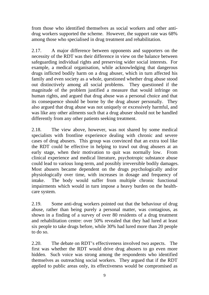from those who identified themselves as social workers and other antidrug workers supported the scheme. However, the support rate was 68% among those who specialised in drug treatment and rehabilitation.

2.17. A major difference between opponents and supporters on the necessity of the RDT was their difference in view on the balance between safeguarding individual rights and preserving wider social interests. For example, a medical organisation, while acknowledging that dangerous drugs inflicted bodily harm on a drug abuser, which in turn affected his family and even society as a whole, questioned whether drug abuse stood out distinctively among all social problems. They questioned if the magnitude of the problem justified a measure that would infringe on human rights, and argued that drug abuse was a personal choice and that its consequence should be borne by the drug abuser personally. They also argued that drug abuse was not uniquely or excessively harmful, and was like any other ailments such that a drug abuser should not be handled differently from any other patients seeking treatment.

2.18. The view above, however, was not shared by some medical specialists with frontline experience dealing with chronic and severe cases of drug abusers. This group was convinced that an extra tool like the RDT could be effective in helping to trawl out drug abusers at an early stage, when their motivation to quit was normally low. From clinical experience and medical literature, psychotropic substance abuse could lead to various long-term, and possibly irreversible bodily damages. Most abusers became dependent on the drugs psychologically and/or physiologically over time, with increases in dosage and frequency of intake. The body would suffer from multiple chronic functional impairments which would in turn impose a heavy burden on the healthcare system.

2.19. Some anti-drug workers pointed out that the behaviour of drug abuse, rather than being purely a personal matter, was contagious, as shown in a finding of a survey of over 80 residents of a drug treatment and rehabilitation centre: over 50% revealed that they had lured at least six people to take drugs before, while 30% had lured more than 20 people to do so.

2.20. The debate on RDT's effectiveness involved two aspects. The first was whether the RDT would drive drug abusers to go even more hidden. Such voice was strong among the respondents who identified themselves as outreaching social workers. They argued that if the RDT applied to public areas only, its effectiveness would be compromised as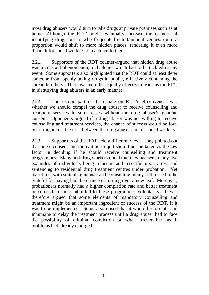most drug abusers would turn to take drugs at private premises such as at home. Although the RDT might eventually increase the chances of identifying drug abusers who frequented entertainment venues, quite a proportion would shift to more hidden places, rendering it even more difficult for social workers to reach out to them.

2.21. Supporters of the RDT counter-argued that hidden drug abuse was a constant phenomenon, a challenge which had to be tackled in any event. Some supporters also highlighted that the RDT could at least deter someone from openly taking drugs in public, effectively containing the spread to others. There was no other equally effective means as the RDT in identifying drug abusers in an early manner.

2.22. The second part of the debate on RDT's effectiveness was whether we should compel the drug abuser to receive counselling and treatment services in some cases without the drug abuser's genuine consent. Opponents argued if a drug abuser was not willing to receive counselling and treatment services, the chance of success would be low, but it might cost the trust between the drug abuser and his social workers.

2.23. Supporters of the RDT held a different view. They pointed out that one's consent and motivation to quit should not be taken as the key factor in deciding if he should receive counselling and treatment programmes. Many anti-drug workers noted that they had seen many live examples of individuals being reluctant and resentful upon arrest and sentencing to residential drug treatment centres under probation. Yet over time, with suitable guidance and counselling, many had turned to be grateful for having had the chance of turning over a new leaf. Moreover, probationers normally had a higher completion rate and better treatment outcome than those admitted to these programmes voluntarily. It was therefore argued that some elements of mandatory counselling and treatment might be an important ingredient of success of the RDT, if it was to be implemented. Some also raised that it would be too late and inhumane to delay the treatment process until a drug abuser had to face the possibility of criminal conviction or when irreversible health problems had already emerged.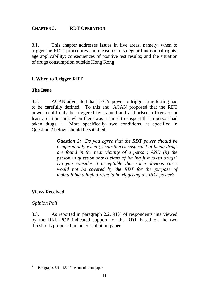## <span id="page-11-0"></span>**CHAPTER 3. RDT OPERATION**

3.1. This chapter addresses issues in five areas, namely: when to trigger the RDT; procedures and measures to safeguard individual rights; age applicability; consequences of positive test results; and the situation of drugs consumption outside Hong Kong.

## **I. When to Trigger RDT**

## **The Issue**

3.2. ACAN advocated that LEO's power to trigger drug testing had to be carefully defined. To this end, ACAN proposed that the RDT power could only be triggered by trained and authorised officers of at least a certain rank when there was a cause to suspect that a person had taken drugs<sup>4</sup>. More specifically, two conditions, as specified in Question 2 below, should be satisfied.

> *Question 2: Do you agree that the RDT power should be triggered only when (i) substances suspected of being drugs are found in the near vicinity of a person; AND (ii) the person in question shows signs of having just taken drugs? Do you consider it acceptable that some obvious cases would not be covered by the RDT for the purpose of maintaining a high threshold in triggering the RDT power?*

## **Views Received**

## *Opinion Poll*

3.3. As reported in paragraph 2.2, 91% of respondents interviewed by the HKU-POP indicated support for the RDT based on the two thresholds proposed in the consultation paper.

 4 Paragraphs 3.4 – 3.5 of the consultation paper.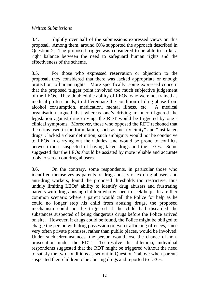## *Written Submissions*

3.4. Slightly over half of the submissions expressed views on this proposal. Among them, around 60% supported the approach described in Question 2. The proposed trigger was considered to be able to strike a right balance between the need to safeguard human rights and the effectiveness of the scheme.

3.5. For those who expressed reservation or objection to the proposal, they considered that there was lacked appropriate or enough protection to human rights. More specifically, some expressed concern that the proposed trigger point involved too much subjective judgement of the LEOs. They doubted the ability of LEOs, who were not trained as medical professionals, to differentiate the condition of drug abuse from alcohol consumption, medication, mental illness, etc. A medical organisation argued that whereas one's driving manner triggered the legislation against drug driving, the RDT would be triggered by one's clinical symptoms. Moreover, those who opposed the RDT reckoned that the terms used in the formulation, such as "near vicinity" and "just taken drugs", lacked a clear definition; such ambiguity would not be conducive to LEOs in carrying out their duties, and would be prone to conflicts between those suspected of having taken drugs and the LEOs. Some suggested that the LEOs should be assisted by more reliable and accurate tools to screen out drug abusers.

3.6. On the contrary, some respondents, in particular those who identified themselves as parents of drug abusers or ex-drug abusers and anti-drug workers, found the proposed thresholds too restrictive, thus unduly limiting LEOs' ability to identify drug abusers and frustrating parents with drug abusing children who wished to seek help. In a rather common scenario where a parent would call the Police for help as he could no longer stop his child from abusing drugs, the proposed mechanism could not be triggered if the child had discarded the substances suspected of being dangerous drugs before the Police arrived on site. However, if drugs could be found, the Police might be obliged to charge the person with drug possession or even trafficking offences, since very often private premises, rather than public places, would be involved. Under such circumstances, the person would lose the chance of nonprosecution under the RDT. To resolve this dilemma, individual respondents suggested that the RDT might be triggered without the need to satisfy the two conditions as set out in Question 2 above when parents suspected their children to be abusing drugs and reported to LEOs.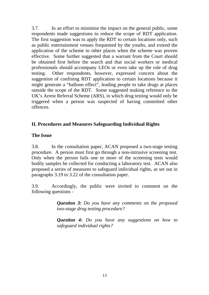3.7. In an effort to minimise the impact on the general public, some respondents made suggestions to reduce the scope of RDT application. The first suggestion was to apply the RDT to certain locations only, such as public entertainment venues frequented by the youths, and extend the application of the scheme to other places when the scheme was proven effective. Some further suggested that a warrant from the Court should be obtained first before the search and that social workers or medical professionals should accompany LEOs or even take up the role of drug testing. Other respondents, however, expressed concern about the suggestion of confining RDT application to certain locations because it might generate a "balloon effect", leading people to take drugs at places outside the scope of the RDT. Some suggested making reference to the UK's Arrest Referral Scheme (ARS), in which drug testing would only be triggered when a person was suspected of having committed other offences.

## **II. Procedures and Measures Safeguarding Individual Rights**

## **The Issue**

3.8. In the consultation paper, ACAN proposed a two-stage testing procedure. A person must first go through a non-intrusive screening test. Only when the person fails one or more of the screening tests would bodily samples be collected for conducting a laboratory test. ACAN also proposed a series of measures to safeguard individual rights, as set out in paragraphs 3.19 to 3.22 of the consultation paper.

3.9. Accordingly, the public were invited to comment on the following questions -

> *Question 3: Do you have any comments on the proposed two-stage drug testing procedure?*

> *Question 4: Do you have any suggestions on how to safeguard individual rights?*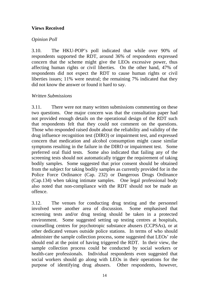## **Views Received**

## *Opinion Poll*

3.10. The HKU-POP's poll indicated that while over 90% of respondents supported the RDT, around 36% of respondents expressed concern that the scheme might give the LEOs excessive power, thus affecting human rights or civil liberties. On the other hand, 47% of respondents did not expect the RDT to cause human rights or civil liberties issues; 11% were neutral; the remaining 7% indicated that they did not know the answer or found it hard to say.

## *Written Submissions*

3.11. There were not many written submissions commenting on these two questions. One major concern was that the consultation paper had not provided enough details on the operational design of the RDT such that respondents felt that they could not comment on the questions. Those who responded raised doubt about the reliability and validity of the drug influence recognition test (DIRO) or impairment test, and expressed concern that medication and alcohol consumption might cause similar symptoms resulting in the failure in the DIRO or impairment test. Some preferred oral fluid tests. Some also indicated that failing any of the screening tests should not automatically trigger the requirement of taking bodily samples. Some suggested that prior consent should be obtained from the subject for taking bodily samples as currently provided for in the Police Force Ordinance (Cap. 232) or Dangerous Drugs Ordinance (Cap.134) when taking intimate samples. One legal professional body also noted that non-compliance with the RDT should not be made an offence.

3.12. The venues for conducting drug testing and the personnel involved were another area of discussion. Some emphasised that screening tests and/or drug testing should be taken in a protected environment. Some suggested setting up testing centres at hospitals, counselling centres for psychotropic substance abusers (CCPSAs), or at other dedicated venues outside police stations. In terms of who should administer the sample collection process, some suggested that LEOs' role should end at the point of having triggered the RDT. In their view, the sample collection process could be conducted by social workers or health-care professionals. Individual respondents even suggested that social workers should go along with LEOs in their operations for the purpose of identifying drug abusers. Other respondents, however,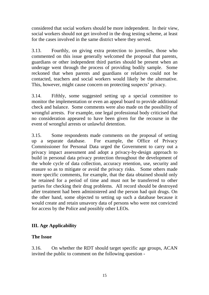considered that social workers should be more independent. In their view, social workers should not get involved in the drug testing scheme, at least for the cases involved in the same district where they served.

3.13. Fourthly, on giving extra protection to juveniles, those who commented on this issue generally welcomed the proposal that parents, guardians or other independent third parties should be present when an underage went through the process of providing bodily sample. Some reckoned that when parents and guardians or relatives could not be contacted, teachers and social workers would likely be the alternative. This, however, might cause concern on protecting suspects' privacy.

3.14. Fifthly, some suggested setting up a special committee to monitor the implementation or even an appeal board to provide additional check and balance. Some comments were also made on the possibility of wrongful arrests. For example, one legal professional body criticised that no consideration appeared to have been given for the recourse in the event of wrongful arrests or unlawful detention.

3.15. Some respondents made comments on the proposal of setting up a separate database. For example, the Office of Privacy Commissioner for Personal Data urged the Government to carry out a privacy impact assessment and adopt a privacy-by-design approach to build in personal data privacy protection throughout the development of the whole cycle of data collection, accuracy retention, use, security and erasure so as to mitigate or avoid the privacy risks. Some others made more specific comments, for example, that the data obtained should only be retained for a period of time and must not be transferred to other parties for checking their drug problems. All record should be destroyed after treatment had been administered and the person had quit drugs. On the other hand, some objected to setting up such a database because it would create and retain unsavory data of persons who were not convicted for access by the Police and possibly other LEOs.

# **III. Age Applicability**

## **The Issue**

3.16. On whether the RDT should target specific age groups, ACAN invited the public to comment on the following question -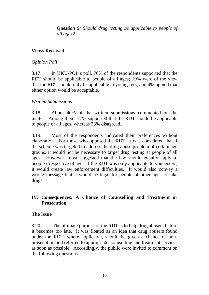*Question 5: Should drug testing be applicable to people of all ages?* 

## **Views Received**

## *Opinion Poll*

3.17. In HKU-POP's poll, 76% of the respondents supported that the RDT should be applicable to people of all ages; 19% were of the view that the RDT should only be applicable to youngsters; and 4% opined that either option would be acceptable.

## *Written Submissions*

3.18. About 40% of the written submissions commented on the matter. Among them, 77% supported that the RDT should be applicable to people of all ages, whereas 23% disagreed.

3.19. Most of the respondents indicated their preferences without elaboration. For those who opposed the RDT, it was considered that if the scheme was targeted to address the drug abuse problem of certain age groups, it would not be necessary to target drug testing at people of all ages. However, most suggested that the law should equally apply to people irrespective of age. If the RDT was only applicable to youngsters, it would create law enforcement difficulties. It would also convey a wrong message that it would be legal for people of other ages to take drugs.

## **IV. Consequences: A Chance of Counselling and Treatment or Prosecution**

## **The Issue**

3.20. The ultimate purpose of the RDT is to help drug abusers before it becomes too late. It was floated as an idea that drug abusers found under the RDT, where applicable, should be given a chance of nonprosecution and referred to appropriate counselling and treatment services as soon as possible. Accordingly, the public were invited to comment on the following questions –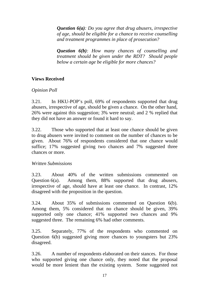*Question 6(a): Do you agree that drug abusers, irrespective of age, should be eligible for a chance to receive counselling and treatment programmes in place of prosecution?* 

*Question 6(b): How many chances of counselling and treatment should be given under the RDT? Should people below a certain age be eligible for more chances?* 

## **Views Received**

## *Opinion Poll*

3.21. In HKU-POP's poll, 69% of respondents supported that drug abusers, irrespective of age, should be given a chance. On the other hand, 26% were against this suggestion; 3% were neutral; and 2 % replied that they did not have an answer or found it hard to say.

3.22. Those who supported that at least one chance should be given to drug abusers were invited to comment on the number of chances to be given. About 76% of respondents considered that one chance would suffice; 17% suggested giving two chances and 7% suggested three chances or more.

## *Written Submissions*

3.23. About 40% of the written submissions commented on Question 6(a). Among them, 88% supported that drug abusers, irrespective of age, should have at least one chance. In contrast, 12% disagreed with the proposition in the question.

3.24. About 35% of submissions commented on Question 6(b). Among them, 5% considered that no chance should be given, 39% supported only one chance; 41% supported two chances and 9% suggested three. The remaining 6% had other comments.

3.25. Separately, 77% of the respondents who commented on Question 6(b) suggested giving more chances to youngsters but 23% disagreed.

3.26. A number of respondents elaborated on their stances. For those who supported giving one chance only, they noted that the proposal would be more lenient than the existing system. Some suggested not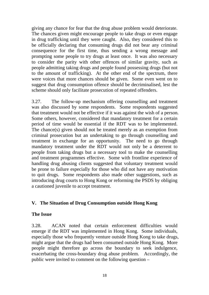giving any chance for fear that the drug abuse problem would deteriorate. The chances given might encourage people to take drugs or even engage in drug trafficking until they were caught. Also, they considered this to be officially declaring that consuming drugs did not bear any criminal consequence for the first time, thus sending a wrong message and prompting some people to try drugs at least once. It was also necessary to consider the parity with other offences of similar gravity, such as people admitting taking drugs and people found possessing drugs (but not to the amount of trafficking). At the other end of the spectrum, there were voices that more chances should be given. Some even went on to suggest that drug consumption offence should be decriminalised, lest the scheme should only facilitate prosecution of repeated offenders.

3.27. The follow-up mechanism offering counselling and treatment was also discussed by some respondents. Some respondents suggested that treatment would not be effective if it was against the wish of a person. Some others, however, considered that mandatory treatment for a certain period of time would be essential if the RDT was to be implemented. The chance(s) given should not be treated merely as an exemption from criminal prosecution but an undertaking to go through counselling and treatment in exchange for an opportunity. The need to go through mandatory treatment under the RDT would not only be a deterrent to people from taking drugs but a necessary tool to make the counselling and treatment programmes effective. Some with frontline experience of handling drug abusing clients suggested that voluntary treatment would be prone to failure especially for those who did not have any motivation to quit drugs. Some respondents also made other suggestions, such as introducing drug courts to Hong Kong or reforming the PSDS by obliging a cautioned juvenile to accept treatment.

## **V. The Situation of Drug Consumption outside Hong Kong**

#### **The Issue**

3.28. ACAN noted that certain enforcement difficulties would emerge if the RDT was implemented in Hong Kong. Some individuals, especially those who frequently venture outside Hong Kong to take drugs, might argue that the drugs had been consumed outside Hong Kong. More people might therefore go across the boundary to seek indulgence, exacerbating the cross-boundary drug abuse problem. Accordingly, the public were invited to comment on the following question –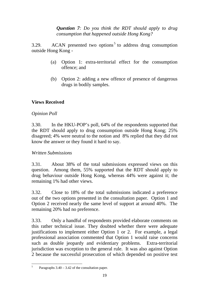*Question 7: Do you think the RDT should apply to drug consumption that happened outside Hong Kong?* 

3.29. ACAN presented two options<sup>5</sup> to address drug consumption outside Hong Kong -

- (a) Option 1: extra-territorial effect for the consumption offence; and
- (b) Option 2: adding a new offence of presence of dangerous drugs in bodily samples.

## **Views Received**

## *Opinion Poll*

3.30. In the HKU-POP's poll, 64% of the respondents supported that the RDT should apply to drug consumption outside Hong Kong; 25% disagreed; 4% were neutral to the notion and 8% replied that they did not know the answer or they found it hard to say.

## *Written Submissions*

3.31. About 38% of the total submissions expressed views on this question. Among them, 55% supported that the RDT should apply to drug behaviour outside Hong Kong, whereas 44% were against it; the remaining 1% had other views.

3.32. Close to 18% of the total submissions indicated a preference out of the two options presented in the consultation paper. Option 1 and Option 2 received nearly the same level of support at around 40%. The remaining 20% had no preference.

3.33. Only a handful of respondents provided elaborate comments on this rather technical issue. They doubted whether there were adequate justifications to implement either Option 1 or 2. For example, a legal professional association commented that Option 1 would raise concerns such as double jeopardy and evidentiary problems. Extra-territorial jurisdiction was exception to the general rule. It was also against Option 2 because the successful prosecution of which depended on positive test

 <sup>5</sup> Paragraphs  $3.40 - 3.42$  of the consultation paper.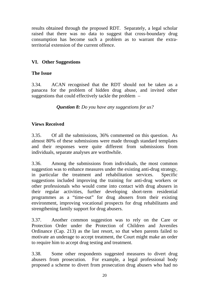results obtained through the proposed RDT. Separately, a legal scholar raised that there was no data to suggest that cross-boundary drug consumption has become such a problem as to warrant the extraterritorial extension of the current offence.

# **VI. Other Suggestions**

# **The Issue**

3.34. ACAN recognised that the RDT should not be taken as a panacea for the problem of hidden drug abuse, and invited other suggestions that could effectively tackle the problem –

*Question 8: Do you have any suggestions for us?* 

# **Views Received**

3.35. Of all the submissions, 36% commented on this question. As almost 80% of these submissions were made through standard templates and their responses were quite different from submissions from individuals, separate analyses are worthwhile.

3.36. Among the submissions from individuals, the most common suggestion was to enhance measures under the existing anti-drug strategy, in particular the treatment and rehabilitation services. Specific suggestions included improving the training for anti-drug workers or other professionals who would come into contact with drug abusers in their regular activities, further developing short-term residential programmes as a "time-out" for drug abusers from their existing environment, improving vocational prospects for drug rehabilitants and strengthening family support for drug abusers.

3.37. Another common suggestion was to rely on the Care or Protection Order under the Protection of Children and Juveniles Ordinance (Cap. 213) as the last resort, so that when parents failed to motivate an underage to accept treatment, the Court might make an order to require him to accept drug testing and treatment.

3.38. Some other respondents suggested measures to divert drug abusers from prosecution. For example, a legal professional body proposed a scheme to divert from prosecution drug abusers who had no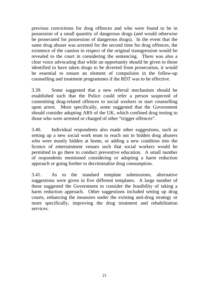previous convictions for drug offences and who were found to be in possession of a small quantity of dangerous drugs (and would otherwise be prosecuted for possession of dangerous drugs). In the event that the same drug abuser was arrested for the second time for drug offences, the existence of the caution in respect of the original transgression would be revealed to the court in considering the sentencing. There was also a clear voice advocating that while an opportunity should be given to those identified to have taken drugs to be diverted from prosecution, it would be essential to ensure an element of compulsion in the follow-up counselling and treatment programmes if the RDT was to be effective.

3.39. Some suggested that a new referral mechanism should be established such that the Police could refer a person suspected of committing drug-related offences to social workers to start counselling upon arrest. More specifically, some suggested that the Government should consider adopting ARS of the UK, which confined drug testing to those who were arrested or charged of other "trigger offences".

3.40. Individual respondents also made other suggestions, such as setting up a new social work team to reach out to hidden drug abusers who were mostly hidden at home, or adding a new condition into the licence of entertainment venues such that social workers would be permitted to go there to conduct preventive education. A small number of respondents mentioned considering or adopting a harm reduction approach or going further to decriminalise drug consumption.

3.41. As to the standard template submissions, alternative suggestions were given in five different templates. A large number of these suggested the Government to consider the feasibility of taking a harm reduction approach. Other suggestions included setting up drug courts, enhancing the measures under the existing anti-drug strategy or more specifically, improving the drug treatment and rehabilitation services.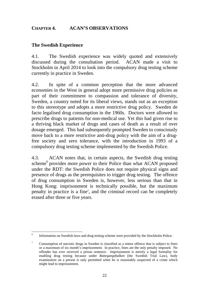## <span id="page-22-0"></span>**CHAPTER 4. ACAN'S OBSERVATIONS**

## **The Swedish Experience**

4.1. The Swedish experience was widely quoted and extensively discussed during the consultation period. ACAN made a visit to Stockholm in April 2014 to look into the compulsory drug testing scheme currently in practice in Sweden.

4.2. In spite of a common perception that the more advanced economies in the West in general adopt more permissive drug policies as part of their commitment to compassion and tolerance of diversity, Sweden, a country noted for its liberal views, stands out as an exception to this stereotype and adopts a more restrictive drug policy. Sweden de facto legalised drug consumption in the 1960s. Doctors were allowed to prescribe drugs to patients for non-medical use. Yet this had given rise to a thriving black market of drugs and cases of death as a result of over dosage emerged. This had subsequently prompted Sweden to consciously move back to a more restrictive anti-drug policy with the aim of a drugfree society and zero tolerance, with the introduction in 1993 of a compulsory drug testing scheme implemented by the Swedish Police.

4.3. ACAN notes that, in certain aspects, the Swedish drug testing scheme<sup>6</sup> provides more power to their Police than what ACAN proposed under the RDT: the Swedish Police does not require physical signs and presence of drugs as the prerequisites to trigger drug testing. The offence of drug consumption in Sweden is, however, less serious than that in Hong Kong: imprisonment is technically possible, but the maximum penalty in practice is a fine<sup>7</sup>, and the criminal record can be completely erased after three or five years.

 6 Information on Swedish laws and drug testing scheme were provided by the Stockholm Police.

 $\overline{7}$ 7 Consumption of narcotic drugs in Sweden is classified as a minor offence that is subject to fines or a maximum of six month's imprisonment. In practice, fines are the only penalty imposed. No offender has ever received a prison sentence. Imprisonment is merely a legal formality for enabling drug testing because under *Rattegangsbalken* (the Swedish Trial Law), body examination on a person is only permitted when he is reasonably suspected of a crime which might lead to imprisonment.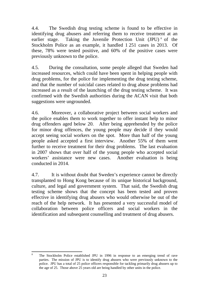4.4. The Swedish drug testing scheme is found to be effective in identifying drug abusers and referring them to receive treatment at an earlier stage. Taking the Juvenile Protection Unit (JPU)<sup>8</sup> of the Stockholm Police as an example, it handled 1 251 cases in 2013. Of these, 78% were tested positive, and 60% of the positive cases were previously unknown to the police.

4.5. During the consultation, some people alleged that Sweden had increased resources, which could have been spent in helping people with drug problems, for the police for implementing the drug testing scheme, and that the number of suicidal cases related to drug abuse problems had increased as a result of the launching of the drug testing scheme. It was confirmed with the Swedish authorities during the ACAN visit that both suggestions were ungrounded.

4.6. Moreover, a collaborative project between social workers and the police enables them to work together to offer instant help to minor drug offenders aged below 20. After being apprehended by the police for minor drug offences, the young people may decide if they would accept seeing social workers on the spot. More than half of the young people asked accepted a first interview. Another 55% of them went further to receive treatment for their drug problems. The last evaluation in 2007 shows that over half of the young people who accepted social workers' assistance were new cases. Another evaluation is being conducted in 2014.

4.7. It is without doubt that Sweden's experience cannot be directly transplanted to Hong Kong because of its unique historical background, culture, and legal and government system. That said, the Swedish drug testing scheme shows that the concept has been tested and proven effective in identifying drug abusers who would otherwise be out of the reach of the help network. It has presented a very successful model of collaboration between police officers and social workers in the identification and subsequent counselling and treatment of drug abusers.

 8 The Stockholm Police established JPU in 1996 in response to an emerging trend of rave parties. The mission of JPU is to identify drug abusers who were previously unknown to the police. JPU has a total of 25 police officers responsible for tackling primarily drug abusers up to the age of 25. Those above 25 years old are being handled by other units in the police.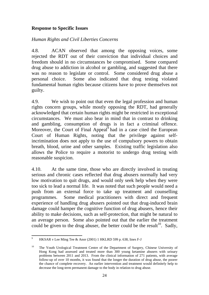## **Response to Specific Issues**

## *Human Rights and Civil Liberties Concerns*

4.8. ACAN observed that among the opposing voices, some rejected the RDT out of their conviction that individual choices and freedom should in no circumstances be compromised. Some compared drug abuse to addiction in alcohol or gambling, and suggested that there was no reason to legislate or control. Some considered drug abuse a personal choice. Some also indicated that drug testing violated fundamental human rights because citizens have to prove themselves not guilty.

4.9. We wish to point out that even the legal profession and human rights concern groups, while mostly opposing the RDT, had generally acknowledged that certain human rights might be restricted in exceptional circumstances. We must also bear in mind that in contrast to drinking and gambling, consumption of drugs is in fact a criminal offence. Moreover, the Court of Final Appeal $\overline{9}$  had in a case cited the European Court of Human Rights, noting that the privilege against selfincrimination does not apply to the use of compulsory powers to obtain breath, blood, urine and other samples. Existing traffic legislation also allows the Police to require a motorist to undergo drug testing with reasonable suspicion.

4.10. At the same time, those who are directly involved in treating serious and chronic cases reflected that drug abusers normally had very low motivation to quit drugs, and would only seek help when they were too sick to lead a normal life. It was noted that such people would need a push from an external force to take up treatment and counselling programmes. Some medical practitioners with direct and frequent experience of handling drug abusers pointed out that drug-induced brain damage could hamper the cognitive function of drug abusers, hence their ability to make decisions, such as self-protection, that might be natural to an average person. Some also pointed out that the earlier the treatment could be given to the drug abuser, the better could be the result<sup>10</sup>. Sadly,

 <sup>9</sup> HKSAR v Lee Ming Tee & Anor (2001) 1 HKLRD 599 p. 638, lines F-J

<sup>&</sup>lt;sup>10</sup> The Youth Urological Treatment Centre of the Department of Surgery, Chinese University of Hong Kong had assessed and treated more than 300 young ketamine abusers with urinary problems between 2011 and 2013. From the clinical information of 271 patients, with average follow-up of over 10 months, it was found that the longer the duration of drug abuse, the poorer the chance of complete recovery. An earlier intervention and treatment would definitely help to decrease the long-term permanent damage to the body in relation to drug abuse.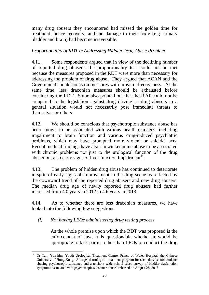many drug abusers they encountered had missed the golden time for treatment, hence recovery, and the damage to their body (e.g. urinary bladder and brain) had become irreversible.

## *Proportionality of RDT in Addressing Hidden Drug Abuse Problem*

4.11. Some respondents argued that in view of the declining number of reported drug abusers, the proportionality test could not be met because the measures proposed in the RDT were more than necessary for addressing the problem of drug abuse. They argued that ACAN and the Government should focus on measures with proven effectiveness. At the same time, less draconian measures should be exhausted before considering the RDT. Some also pointed out that the RDT could not be compared to the legislation against drug driving as drug abusers in a general situation would not necessarily pose immediate threats to themselves or others.

4.12. We should be conscious that psychotropic substance abuse has been known to be associated with various health damages, including impairment to brain function and various drug-induced psychiatric problems, which may have prompted more violent or suicidal acts. Recent medical findings have also shown ketamine abuse to be associated with chronic problems not just to the urological function of the drug abuser but also early signs of liver function impairment<sup> $11$ </sup>.

4.13. The problem of hidden drug abuse has continued to deteriorate in spite of early signs of improvement in the drug scene as reflected by the downward trend of the reported drug abusers and new drug abusers. The median drug age of newly reported drug abusers had further increased from 4.0 years in 2012 to 4.6 years in 2013.

4.14. As to whether there are less draconian measures, we have looked into the following few suggestions.

# *(i) Not having LEOs administering drug testing process*

As the whole premise upon which the RDT was proposed is the enforcement of law, it is questionable whether it would be appropriate to task parties other than LEOs to conduct the drug

 Dr Tam Yuk-him, Youth Urological Treatment Centre, Prince of Wales Hospital, the Chinese University of Hong Kong "A targeted urological treatment program for secondary school students abusing psychotropic substance and a territory-wide school-based survey of bladder dysfunction symptoms associated with psychotropic substance abuse" released on August 28, 2013.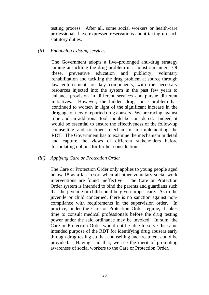testing process. After all, some social workers or health-care professionals have expressed reservations about taking up such statutory duties.

#### *(ii) Enhancing existing services*

The Government adopts a five–prolonged anti-drug strategy aiming at tackling the drug problem in a holistic manner. Of these, preventive education and publicity, voluntary rehabilitation and tackling the drug problem at source through law enforcement are key components, with the necessary resources injected into the system in the past few years to enhance provision in different services and pursue different initiatives. However, the hidden drug abuse problem has continued to worsen in light of the significant increase in the drug age of newly reported drug abusers. We are racing against time and an additional tool should be considered. Indeed, it would be essential to ensure the effectiveness of the follow-up counselling and treatment mechanism in implementing the RDT. The Government has to examine the mechanism in detail and capture the views of different stakeholders before formulating options for further consultation.

#### *(iii) Applying Care or Protection Order*

The Care or Protection Order only applies to young people aged below 18 as a last resort when all other voluntary social work interventions are found ineffective. The Care or Protection Order system is intended to bind the parents and guardians such that the juvenile or child could be given proper care. As to the juvenile or child concerned, there is no sanction against noncompliance with requirements in the supervision order. In practice, under the Care or Protection Order regime, it takes time to consult medical professionals before the drug testing power under the said ordinance may be invoked. In sum, the Care or Protection Order would not be able to serve the same intended purpose of the RDT for identifying drug abusers early through drug testing so that counselling and treatment could be provided. Having said that, we see the merit of promoting awareness of social workers to the Care or Protection Order.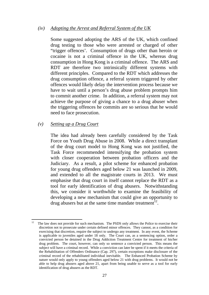#### *(iv) Adopting the Arrest and Referral System of the UK*

Some suggested adopting the ARS of the UK, which confined drug testing to those who were arrested or charged of other "trigger offences'. Consumption of drugs other than heroin or cocaine is not a criminal offence in the UK, whereas drug consumption in Hong Kong is a criminal offence. The ARS and RDT are therefore two intrinsically different systems with different principles. Compared to the RDT which addresses the drug consumption offence, a referral system triggered by other offences would likely delay the intervention process because we have to wait until a person's drug abuse problem prompts him to commit another crime. In addition, a referral system may not achieve the purpose of giving a chance to a drug abuser when the triggering offences he commits are so serious that he would need to face prosecution.

#### *(v) Setting up a Drug Court*

The idea had already been carefully considered by the Task Force on Youth Drug Abuse in 2008. While a direct transplant of the drug court model to Hong Kong was not justified, the Task Force recommended intensifying the probation system with closer cooperation between probation officers and the Judiciary. As a result, a pilot scheme for enhanced probation for young drug offenders aged below 21 was launched in 2009, and extended to all the magistrate courts in 2013. We must emphasise that drug court in itself cannot replace the RDT as a tool for early identification of drug abusers. Notwithstanding this, we consider it worthwhile to examine the feasibility of developing a new mechanism that could give an opportunity to drug abusers but at the same time mandate treatment<sup>12</sup>.

  $12$  The law does not provide for such mechanism. The PSDS only allows the Police to exercise their discretion not to prosecute under certain defined minor offences. They cannot, as a condition for exercising that discretion, require the subject to undergo any treatment. In any event, the Scheme is applicable to juveniles aged under 18 only. The Court can, as a sentencing option, order a convicted person be detained in the Drug Addiction Treatment Centre for treatment of his/her drug problem. The court, however, can only so sentence a convicted person. This means the subject will have a criminal record. While a conviction can later be spent if it meets the criteria of the Rehabilitation of Offenders Ordinance (Cap. 297), certain exceptions make disclosure of the criminal record of the rehabilitated individual inevitable. The Enhanced Probation Scheme by nature would only apply to young offenders aged below 21 with drug problems. It would not be able to help drug abusers aged above 21, apart from being unable to serve as a tool for early identification of drug abusers as the RDT.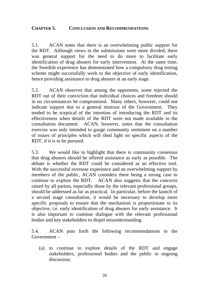## <span id="page-28-0"></span>**CHAPTER 5. CONCLUSION AND RECOMMENDATIONS**

5.1. ACAN notes that there is an overwhelming public support for the RDT. Although views in the submissions were more divided, there was general support for the need to do more to facilitate early identification of drug abusers for early intervention. At the same time, the Swedish experience has demonstrated how a compulsory drug testing scheme might successfully work to the objective of early identification, hence providing assistance to drug abusers at an early stage.

5.2. ACAN observes that among the opponents, some rejected the RDT out of their conviction that individual choices and freedom should in no circumstances be compromised. Many others, however, could not indicate support due to a general mistrust of the Government. They tended to be sceptical of the intention of introducing the RDT and its effectiveness when details of the RDT were not made available in the consultation document. ACAN, however, notes that the consultation exercise was only intended to gauge community sentiment on a number of issues of principles which will shed light on specific aspects of the RDT, if it is to be pursued.

5.3. We would like to highlight that there is community consensus that drug abusers should be offered assistance as early as possible. The debate is whether the RDT could be considered as an effective tool. With the successful overseas experience and an overwhelming support by members of the public, ACAN considers there being a strong case to continue to explore the RDT. ACAN also suggests that the concerns raised by all parties, especially those by the relevant professional groups, should be addressed as far as practical. In particular, before the launch of a second stage consultation, it would be necessary to develop more specific proposals to ensure that the mechanism is proportionate to its objective, i.e. early identification of drug abusers for early assistance. It is also important to continue dialogue with the relevant professional bodies and key stakeholders to dispel misunderstanding.

5.4. ACAN puts forth the following recommendations to the Government –

(a) to continue to explore details of the RDT and engage stakeholders, professional bodies and the public in ongoing discussion;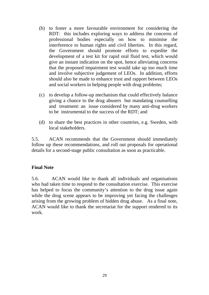- (b) to foster a more favourable environment for considering the RDT: this includes exploring ways to address the concerns of professional bodies especially on how to minimise the interference to human rights and civil liberties. In this regard, the Government should promote efforts to expedite the development of a test kit for rapid oral fluid test, which would give an instant indication on the spot, hence alleviating concerns that the proposed impairment test would take up too much time and involve subjective judgement of LEOs. In addition, efforts should also be made to enhance trust and rapport between LEOs and social workers in helping people with drug problems;
- (c) to develop a follow-up mechanism that could effectively balance giving a chance to the drug abusers but mandating counselling and treatment: an issue considered by many anti-drug workers to be instrumental to the success of the RDT; and
- (d) to share the best practices in other countries, e.g. Sweden, with local stakeholders.

5.5. ACAN recommends that the Government should immediately follow up these recommendations, and roll out proposals for operational details for a second-stage public consultation as soon as practicable.

## **Final Note**

5.6. ACAN would like to thank all individuals and organisations who had taken time to respond to the consultation exercise. This exercise has helped to focus the community's attention to the drug issue again while the drug scene appears to be improving yet facing the challenges arising from the growing problem of hidden drug abuse. As a final note, ACAN would like to thank the secretariat for the support rendered to its work.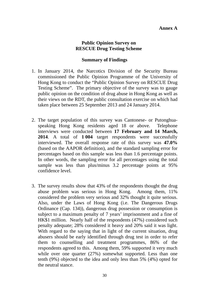#### **Public Opinion Survey on RESCUE Drug Testing Scheme**

#### **Summary of Findings**

- <span id="page-30-0"></span>1. In January 2014, the Narcotics Division of the Security Bureau commissioned the Public Opinion Programme of the University of Hong Kong to conduct the "Public Opinion Survey on RESCUE Drug Testing Scheme". The primary objective of the survey was to gauge public opinion on the condition of drug abuse in Hong Kong as well as their views on the RDT, the public consultation exercise on which had taken place between 25 September 2013 and 24 January 2014.
- 2. The target population of this survey was Cantonese- or Putonghuaspeaking Hong Kong residents aged 18 or above. Telephone interviews were conducted between **17 February and 14 March, 2014**. A total of **1 004** target respondents were successfully interviewed. The overall response rate of this survey was **47.0%**  (based on the AAPOR definition), and the standard sampling error for percentages based on this sample was less than 1.6 percentage points. In other words, the sampling error for all percentages using the total sample was less than plus/minus 3.2 percentage points at 95% confidence level.
- 3. The survey results show that 43% of the respondents thought the drug abuse problem was serious in Hong Kong. Among them, 11% considered the problem very serious and 32% thought it quite serious. Also, under the Laws of Hong Kong (i.e. The Dangerous Drugs Ordinance (Cap. 134)), dangerous drug possession or consumption is subject to a maximum penalty of 7 years' imprisonment and a fine of HK\$1 million. Nearly half of the respondents (47%) considered such penalty adequate; 28% considered it heavy and 20% said it was light. With regard to the saying that in light of the current situation, drug abusers should be early identified through drug test in order to refer them to counselling and treatment programmes, 86% of the respondents agreed to this. Among them, 59% supported it very much while over one quarter (27%) somewhat supported. Less than one tenth (9%) objected to the idea and only less than 5% (4%) opted for the neutral stance.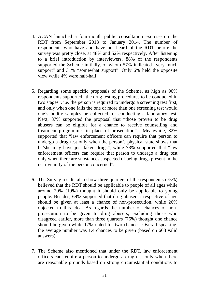- 4. ACAN launched a four-month public consultation exercise on the RDT from September 2013 to January 2014. The number of respondents who have and have not heard of the RDT before the survey was pretty close, at 48% and 52% respectively. After listening to a brief introduction by interviewers, 88% of the respondents supported the Scheme initially, of whom 57% indicated "very much support" and 31% "somewhat support". Only 6% held the opposite view while 4% were half-half.
- 5. Regarding some specific proposals of the Scheme, as high as 90% respondents supported "the drug testing procedures to be conducted in two stages", i.e. the person is required to undergo a screening test first, and only when one fails the one or more than one screening test would one's bodily samples be collected for conducting a laboratory test. Next, 87% supported the proposal that "those proven to be drug abusers can be eligible for a chance to receive counselling and treatment programmes in place of prosecution". Meanwhile, 82% supported that "law enforcement officers can require that person to undergo a drug test only when the person's physical state shows that he/she may have just taken drugs", while 78% supported that "law enforcement officers can require that person to undergo a drug test only when there are substances suspected of being drugs present in the near vicinity of the person concerned".
- 6. The Survey results also show three quarters of the respondents (75%) believed that the RDT should be applicable to people of all ages while around 20% (19%) thought it should only be applicable to young people. Besides, 69% supported that drug abusers irrespective of age should be given at least a chance of non-prosecution, while 26% objected to this idea. As regards the number of chances of nonprosecution to be given to drug abusers, excluding those who disagreed earlier, more than three quarters (76%) thought one chance should be given while 17% opted for two chances. Overall speaking, the average number was 1.4 chances to be given (based on 668 valid answers).
- 7. The Scheme also mentioned that under the RDT, law enforcement officers can require a person to undergo a drug test only when there are reasonable grounds based on strong circumstantial conditions to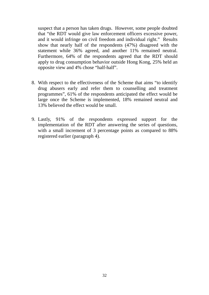suspect that a person has taken drugs. However, some people doubted that "the RDT would give law enforcement officers excessive power, and it would infringe on civil freedom and individual right." Results show that nearly half of the respondents (47%) disagreed with the statement while 36% agreed, and another 11% remained neutral. Furthermore, 64% of the respondents agreed that the RDT should apply to drug consumption behavior outside Hong Kong, 25% held an opposite view and 4% chose "half-half".

- 8. With respect to the effectiveness of the Scheme that aims "to identify drug abusers early and refer them to counselling and treatment programmes", 61% of the respondents anticipated the effect would be large once the Scheme is implemented, 18% remained neutral and 13% believed the effect would be small.
- 9. Lastly, 91% of the respondents expressed support for the implementation of the RDT after answering the series of questions, with a small increment of 3 percentage points as compared to 88% registered earlier (paragraph 4).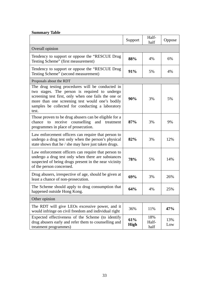#### **Summary Table**

|                                                                                                                                                                                                                                                                           | Support            | Half-<br>half        | Oppose     |  |  |
|---------------------------------------------------------------------------------------------------------------------------------------------------------------------------------------------------------------------------------------------------------------------------|--------------------|----------------------|------------|--|--|
| Overall opinion                                                                                                                                                                                                                                                           |                    |                      |            |  |  |
| Tendency to support or oppose the "RESCUE Drug"<br>Testing Scheme" (first measurement)                                                                                                                                                                                    | 88%                | 4%                   | 6%         |  |  |
| Tendency to support or oppose the "RESCUE Drug<br>Testing Scheme" (second measurement)                                                                                                                                                                                    | 91%                | 5%                   | 4%         |  |  |
| Proposals about the RDT                                                                                                                                                                                                                                                   |                    |                      |            |  |  |
| The drug testing procedures will be conducted in<br>two stages. The person is required to undergo<br>screening test first, only when one fails the one or<br>more than one screening test would one's bodily<br>samples be collected for conducting a laboratory<br>test. | 90%                | 3%                   | 5%         |  |  |
| Those proven to be drug abusers can be eligible for a<br>receive counselling<br>and treatment<br>chance<br>to<br>programmes in place of prosecution.                                                                                                                      | 87%                | 3%                   | 9%         |  |  |
| Law enforcement officers can require that person to<br>undergo a drug test only when the person's physical<br>state shows that he / she may have just taken drugs.                                                                                                        | 82%                | 3%                   | 12%        |  |  |
| Law enforcement officers can require that person to<br>undergo a drug test only when there are substances<br>suspected of being drugs present in the near vicinity<br>of the person concerned.                                                                            | 78%                | 5%                   | 14%        |  |  |
| Drug abusers, irrespective of age, should be given at<br>least a chance of non-prosecution.                                                                                                                                                                               | 69%                | 3%                   | 26%        |  |  |
| The Scheme should apply to drug consumption that<br>happened outside Hong Kong.                                                                                                                                                                                           | 64%                | 4%                   | 25%        |  |  |
| Other opinion                                                                                                                                                                                                                                                             |                    |                      |            |  |  |
| The RDT will give LEOs excessive power, and it<br>would infringe on civil freedom and individual right                                                                                                                                                                    | 36%                | 11%                  | 47%        |  |  |
| Expected effectiveness of the Scheme (to identify<br>drug abusers early and refer them to counselling and<br>treatment programmes)                                                                                                                                        | 61%<br><b>High</b> | 18%<br>Half-<br>half | 13%<br>Low |  |  |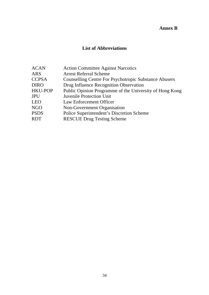## **Annex B**

## **List of Abbreviations**

<span id="page-34-0"></span>

| <b>ACAN</b>    | <b>Action Committee Against Narcotics</b>                    |
|----------------|--------------------------------------------------------------|
| <b>ARS</b>     | <b>Arrest Referral Scheme</b>                                |
| <b>CCPSA</b>   | <b>Counselling Centre For Psychotropic Substance Abusers</b> |
| <b>DIRO</b>    | Drug Influence Recognition Observation                       |
| <b>HKU-POP</b> | Public Opinion Programme of the University of Hong Kong      |
| <b>JPU</b>     | <b>Juvenile Protection Unit</b>                              |
| <b>LEO</b>     | Law Enforcement Officer                                      |
| <b>NGO</b>     | Non-Government Organisation                                  |
| <b>PSDS</b>    | Police Superintendent's Discretion Scheme                    |
| <b>RDT</b>     | <b>RESCUE Drug Testing Scheme</b>                            |
|                |                                                              |